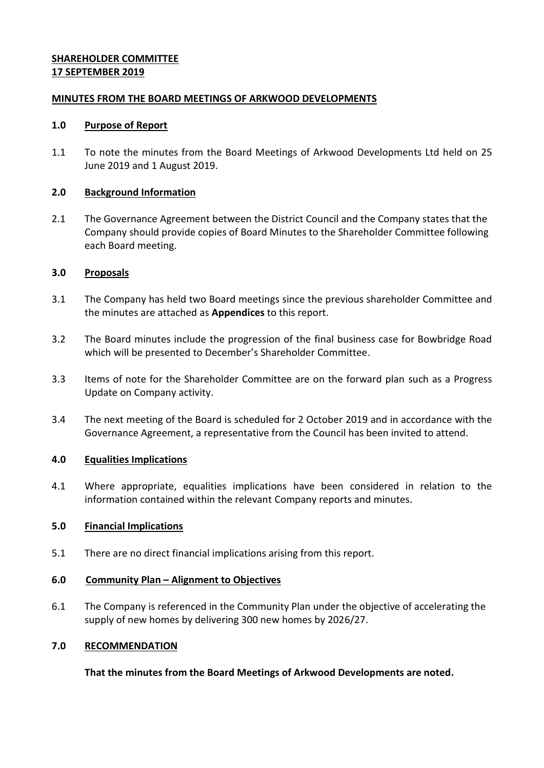## **SHAREHOLDER COMMITTEE 17 SEPTEMBER 2019**

### **MINUTES FROM THE BOARD MEETINGS OF ARKWOOD DEVELOPMENTS**

#### **1.0 Purpose of Report**

1.1 To note the minutes from the Board Meetings of Arkwood Developments Ltd held on 25 June 2019 and 1 August 2019.

#### **2.0 Background Information**

2.1 The Governance Agreement between the District Council and the Company states that the Company should provide copies of Board Minutes to the Shareholder Committee following each Board meeting.

#### **3.0 Proposals**

- 3.1 The Company has held two Board meetings since the previous shareholder Committee and the minutes are attached as **Appendices** to this report.
- 3.2 The Board minutes include the progression of the final business case for Bowbridge Road which will be presented to December's Shareholder Committee.
- 3.3 Items of note for the Shareholder Committee are on the forward plan such as a Progress Update on Company activity.
- 3.4 The next meeting of the Board is scheduled for 2 October 2019 and in accordance with the Governance Agreement, a representative from the Council has been invited to attend.

## **4.0 Equalities Implications**

4.1 Where appropriate, equalities implications have been considered in relation to the information contained within the relevant Company reports and minutes.

## **5.0 Financial Implications**

5.1 There are no direct financial implications arising from this report.

## **6.0 Community Plan – Alignment to Objectives**

6.1 The Company is referenced in the Community Plan under the objective of accelerating the supply of new homes by delivering 300 new homes by 2026/27.

## **7.0 RECOMMENDATION**

**That the minutes from the Board Meetings of Arkwood Developments are noted.**